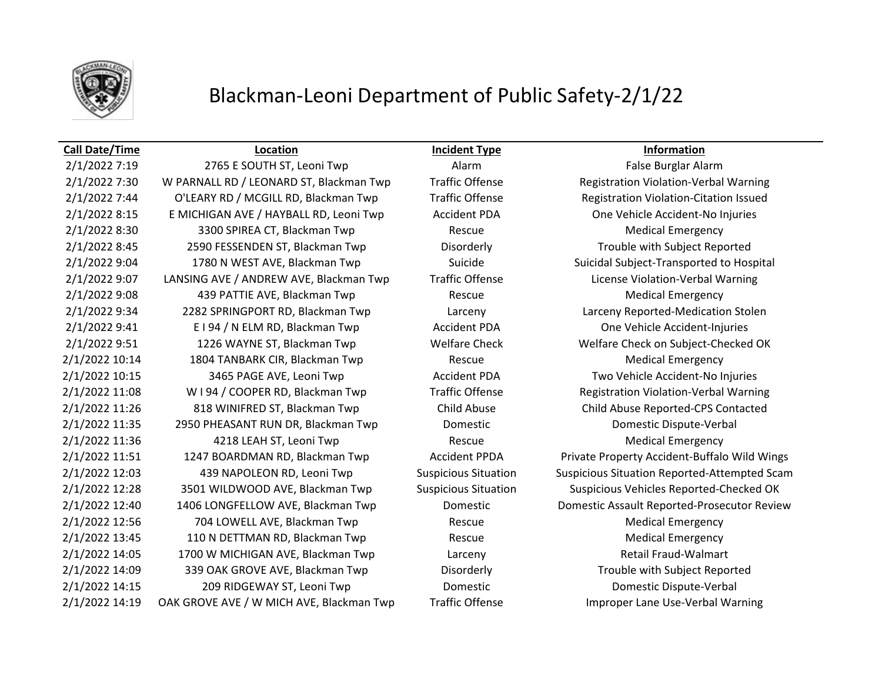

# Blackman-Leoni Department of Public Safety-2/1/22

2/1/2022 7:30 W PARNALL RD / LEONARD ST, Blackman Twp Traffic Offense Registration Violation-Verbal Warning 2/1/2022 7:44 O'LEARY RD / MCGILL RD, Blackman Twp Traffic Offense Registration Violation-Citation Issued 2/1/2022 8:15 E MICHIGAN AVE / HAYBALL RD, Leoni Twp Accident PDA One Vehicle Accident-No Injuries 2/1/2022 8:30 3300 SPIREA CT, Blackman Twp Rescue Rescue Medical Emergency 2/1/2022 8:45 2590 FESSENDEN ST, Blackman Twp Disorderly Disorderly Trouble with Subject Reported 2/1/2022 9:04 1780 N WEST AVE, Blackman Twp Suicide Suicide Suicidal Subject-Transported to Hospital 2/1/2022 9:07 LANSING AVE / ANDREW AVE, Blackman Twp Traffic Offense License Violation-Verbal Warning 2/1/2022 9:08 439 PATTIE AVE, Blackman Twp Rescue Rescue Medical Emergency 2/1/2022 9:34 2282 SPRINGPORT RD, Blackman Twp Larceny Larceny Reported-Medication Stolen 2/1/2022 9:41 E I 94 / N ELM RD, Blackman Twp Accident PDA One Vehicle Accident-Injuries 2/1/2022 9:51 1226 WAYNE ST, Blackman Twp Welfare Check Welfare Check on Subject-Checked OK 2/1/2022 10:14 1804 TANBARK CIR, Blackman Twp Rescue Medical Emergency 2/1/2022 10:15 3465 PAGE AVE, Leoni Twp Accident PDA Two Vehicle Accident-No Injuries 2/1/2022 11:08 W I 94 / COOPER RD, Blackman Twp Traffic Offense Registration Violation-Verbal Warning 2/1/2022 11:26 818 WINIFRED ST, Blackman Twp Child Abuse Child Abuse Reported-CPS Contacted 2/1/2022 11:35 2950 PHEASANT RUN DR, Blackman Twp Domestic Domestic Dispute-Verbal 2/1/2022 11:36 4218 LEAH ST, Leoni Twp Rescue Medical Emergency 2/1/2022 11:51 1247 BOARDMAN RD, Blackman Twp Accident PPDA Private Property Accident-Buffalo Wild Wings 2/1/2022 12:03 439 NAPOLEON RD, Leoni Twp Suspicious Situation Suspicious Situation Reported-Attempted Scam 2/1/2022 12:28 3501 WILDWOOD AVE, Blackman Twp Suspicious Situation Suspicious Vehicles Reported-Checked OK 2/1/2022 12:40 1406 LONGFELLOW AVE, Blackman Twp Domestic Domestic Assault Reported-Prosecutor Review 2/1/2022 12:56 704 LOWELL AVE, Blackman Twp Rescue Rescue Medical Emergency 2/1/2022 13:45 110 N DETTMAN RD, Blackman Twp Rescue Rescue Medical Emergency 2/1/2022 14:05 1700 W MICHIGAN AVE, Blackman Twp Larceny Retail Fraud-Walmart 2/1/2022 14:09 339 OAK GROVE AVE, Blackman Twp Disorderly Trouble with Subject Reported 2/1/2022 14:15 209 RIDGEWAY ST, Leoni Twp Domestic Domestic Dispute-Verbal 2/1/2022 14:19 OAK GROVE AVE / W MICH AVE, Blackman Twp Traffic Offense Improper Lane Use-Verbal Warning

**Call Date/Time Location Incident Type Information**

2/1/2022 7:19 2765 E SOUTH ST, Leoni Twp Alarm Alarm Alarm False Burglar Alarm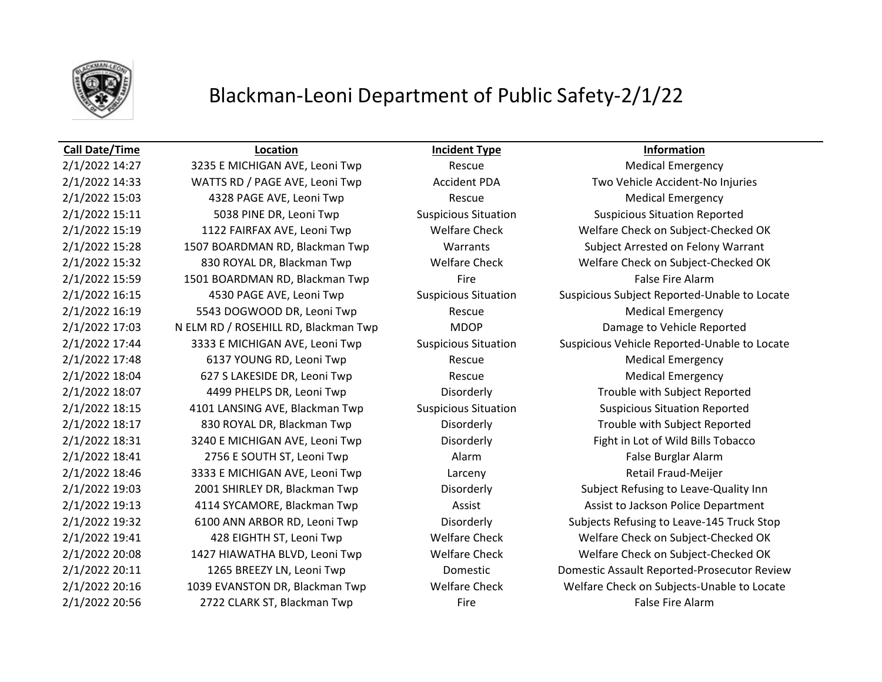

## Blackman-Leoni Department of Public Safety-2/1/22

## **Call Date/Time Location Incident Type Information**

2/1/2022 14:27 3235 E MICHIGAN AVE, Leoni Twp Rescue Medical Emergency 2/1/2022 15:03 4328 PAGE AVE, Leoni Twp Rescue Rescue Medical Emergency 2/1/2022 15:11 5038 PINE DR, Leoni Twp Suspicious Situation Suspicious Situation Suspicious Situation Reported 2/1/2022 15:59 1501 BOARDMAN RD, Blackman Twp Fire Fire False Fire Alarm 2/1/2022 16:19 5543 DOGWOOD DR, Leoni Twp Rescue Rescue Medical Emergency 2/1/2022 17:03 N ELM RD / ROSEHILL RD, Blackman Twp MDOP Damage to Vehicle Reported 2/1/2022 17:48 6137 YOUNG RD, Leoni Twp Rescue Rescue Medical Emergency 2/1/2022 18:04 627 S LAKESIDE DR, Leoni Twp Rescue Rescue Medical Emergency 2/1/2022 18:07 4499 PHELPS DR, Leoni Twp Disorderly Disorderly Trouble with Subject Reported 2/1/2022 18:15 4101 LANSING AVE, Blackman Twp Suspicious Situation Suspicious Situation Reported 2/1/2022 18:17 830 ROYAL DR, Blackman Twp Disorderly Trouble with Subject Reported 2/1/2022 18:31 3240 E MICHIGAN AVE, Leoni Twp Disorderly Fight in Lot of Wild Bills Tobacco 2/1/2022 18:41 2756 E SOUTH ST, Leoni Twp Alarm Alarm Alarm False Burglar Alarm 2/1/2022 18:46 3333 E MICHIGAN AVE, Leoni Twp Larceny Retail Fraud-Meijer 2/1/2022 20:56 2722 CLARK ST, Blackman Twp Fire Fire Fire False Fire Alarm

2/1/2022 14:33 WATTS RD / PAGE AVE, Leoni Twp Accident PDA Two Vehicle Accident-No Injuries 2/1/2022 15:19 1122 FAIRFAX AVE, Leoni Twp Welfare Check Welfare Check on Subject-Checked OK 2/1/2022 15:28 1507 BOARDMAN RD, Blackman Twp Warrants Subject Arrested on Felony Warrant 2/1/2022 15:32 830 ROYAL DR, Blackman Twp Welfare Check Welfare Check on Subject-Checked OK 2/1/2022 16:15 4530 PAGE AVE, Leoni Twp Suspicious Situation Suspicious Subject Reported-Unable to Locate 2/1/2022 17:44 3333 E MICHIGAN AVE, Leoni Twp Suspicious Situation Suspicious Vehicle Reported-Unable to Locate 2/1/2022 19:03 2001 SHIRLEY DR, Blackman Twp Disorderly Subject Refusing to Leave-Quality Inn 2/1/2022 19:13 4114 SYCAMORE, Blackman Twp Assist Assist Assist to Jackson Police Department 2/1/2022 19:32 6100 ANN ARBOR RD, Leoni Twp Disorderly Subjects Refusing to Leave-145 Truck Stop 2/1/2022 19:41 428 EIGHTH ST, Leoni Twp Welfare Check Welfare Check on Subject-Checked OK 2/1/2022 20:08 1427 HIAWATHA BLVD, Leoni Twp Welfare Check Welfare Check on Subject-Checked OK 2/1/2022 20:11 1265 BREEZY LN, Leoni Twp Domestic Domestic Assault Reported-Prosecutor Review 2/1/2022 20:16 1039 EVANSTON DR, Blackman Twp Welfare Check Welfare Check on Subjects-Unable to Locate